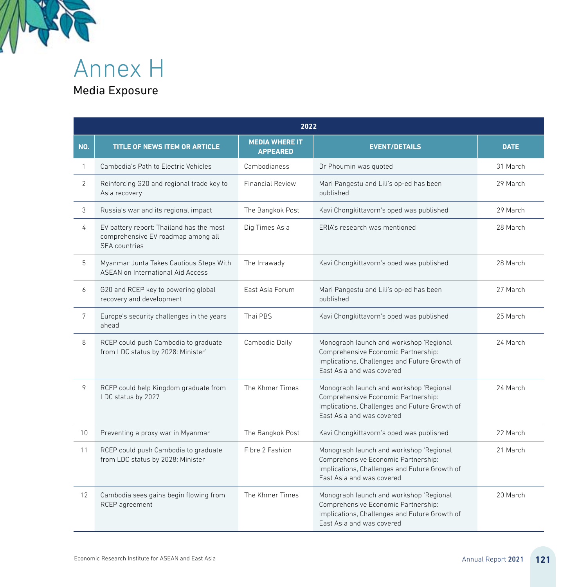

Annex H

## Media Exposure

|     | 2022                                                                                            |                                          |                                                                                                                                                              |             |  |  |
|-----|-------------------------------------------------------------------------------------------------|------------------------------------------|--------------------------------------------------------------------------------------------------------------------------------------------------------------|-------------|--|--|
| NO. | <b>TITLE OF NEWS ITEM OR ARTICLE</b>                                                            | <b>MEDIA WHERE IT</b><br><b>APPEARED</b> | <b>EVENT/DETAILS</b>                                                                                                                                         | <b>DATE</b> |  |  |
| 1   | Cambodia's Path to Electric Vehicles                                                            | Cambodianess                             | Dr Phoumin was quoted                                                                                                                                        | 31 March    |  |  |
| 2   | Reinforcing G20 and regional trade key to<br>Asia recovery                                      | <b>Financial Review</b>                  | Mari Pangestu and Lili's op-ed has been<br>published                                                                                                         | 29 March    |  |  |
| 3   | Russia's war and its regional impact                                                            | The Bangkok Post                         | Kavi Chongkittavorn's oped was published                                                                                                                     | 29 March    |  |  |
| 4   | EV battery report: Thailand has the most<br>comprehensive EV roadmap among all<br>SFA countries | DigiTimes Asia                           | ERIA's research was mentioned                                                                                                                                | 28 March    |  |  |
| 5   | Myanmar Junta Takes Cautious Steps With<br>ASEAN on International Aid Access                    | The Irrawady                             | Kavi Chongkittavorn's oped was published                                                                                                                     | 28 March    |  |  |
| 6   | G20 and RCEP key to powering global<br>recovery and development                                 | East Asia Forum                          | Mari Pangestu and Lili's op-ed has been<br>published                                                                                                         | 27 March    |  |  |
| 7   | Europe's security challenges in the years<br>ahead                                              | Thai PBS                                 | Kavi Chongkittavorn's oped was published                                                                                                                     | 25 March    |  |  |
| 8   | RCEP could push Cambodia to graduate<br>from LDC status by 2028: Minister'                      | Cambodia Daily                           | Monograph launch and workshop 'Regional<br>Comprehensive Economic Partnership:<br>Implications, Challenges and Future Growth of<br>Fast Asia and was covered | 24 March    |  |  |
| 9   | RCEP could help Kingdom graduate from<br>LDC status by 2027                                     | The Khmer Times                          | Monograph launch and workshop 'Regional<br>Comprehensive Economic Partnership:<br>Implications, Challenges and Future Growth of<br>East Asia and was covered | 24 March    |  |  |
| 10  | Preventing a proxy war in Myanmar                                                               | The Bangkok Post                         | Kavi Chongkittavorn's oped was published                                                                                                                     | 22 March    |  |  |
| 11  | RCEP could push Cambodia to graduate<br>from LDC status by 2028: Minister                       | Fibre 2 Fashion                          | Monograph launch and workshop 'Regional<br>Comprehensive Economic Partnership:<br>Implications, Challenges and Future Growth of<br>East Asia and was covered | 21 March    |  |  |
| 12  | Cambodia sees gains begin flowing from<br>RCEP agreement                                        | The Khmer Times                          | Monograph launch and workshop 'Regional<br>Comprehensive Economic Partnership:<br>Implications, Challenges and Future Growth of<br>Fast Asia and was covered | 20 March    |  |  |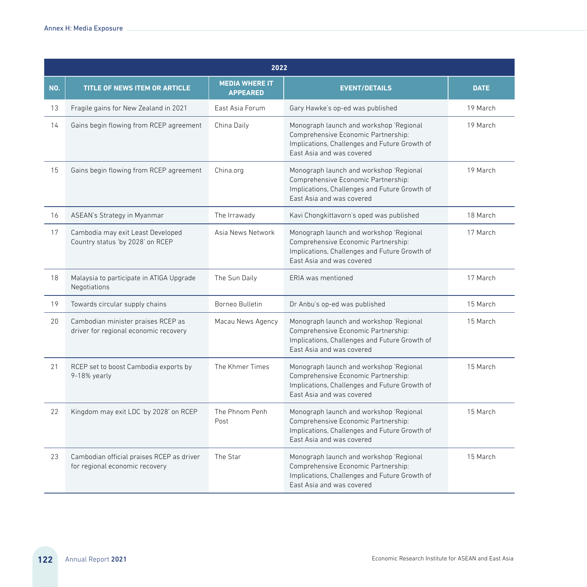|     | 2022                                                                        |                                          |                                                                                                                                                              |             |  |  |
|-----|-----------------------------------------------------------------------------|------------------------------------------|--------------------------------------------------------------------------------------------------------------------------------------------------------------|-------------|--|--|
| NO. | <b>TITLE OF NEWS ITEM OR ARTICLE</b>                                        | <b>MEDIA WHERE IT</b><br><b>APPEARED</b> | <b>EVENT/DETAILS</b>                                                                                                                                         | <b>DATE</b> |  |  |
| 13  | Fragile gains for New Zealand in 2021                                       | East Asia Forum                          | Gary Hawke's op-ed was published                                                                                                                             | 19 March    |  |  |
| 14  | Gains begin flowing from RCEP agreement                                     | China Daily                              | Monograph launch and workshop 'Regional<br>Comprehensive Economic Partnership:<br>Implications, Challenges and Future Growth of<br>Fast Asia and was covered | 19 March    |  |  |
| 15  | Gains begin flowing from RCEP agreement                                     | China.org                                | Monograph launch and workshop 'Regional<br>Comprehensive Economic Partnership:<br>Implications, Challenges and Future Growth of<br>East Asia and was covered | 19 March    |  |  |
| 16  | ASEAN's Strategy in Myanmar                                                 | The Irrawady                             | Kavi Chongkittavorn's oped was published                                                                                                                     | 18 March    |  |  |
| 17  | Cambodia may exit Least Developed<br>Country status 'by 2028' on RCEP       | Asia News Network                        | Monograph launch and workshop 'Regional<br>Comprehensive Economic Partnership:<br>Implications, Challenges and Future Growth of<br>East Asia and was covered | 17 March    |  |  |
| 18  | Malaysia to participate in ATIGA Upgrade<br>Negotiations                    | The Sun Daily                            | ERIA was mentioned                                                                                                                                           | 17 March    |  |  |
| 19  | Towards circular supply chains                                              | Borneo Bulletin                          | Dr Anbu's op-ed was published                                                                                                                                | 15 March    |  |  |
| 20  | Cambodian minister praises RCEP as<br>driver for regional economic recovery | Macau News Agency                        | Monograph launch and workshop 'Regional<br>Comprehensive Economic Partnership:<br>Implications, Challenges and Future Growth of<br>East Asia and was covered | 15 March    |  |  |
| 21  | RCEP set to boost Cambodia exports by<br>9-18% yearly                       | The Khmer Times                          | Monograph launch and workshop 'Regional<br>Comprehensive Economic Partnership:<br>Implications, Challenges and Future Growth of<br>East Asia and was covered | 15 March    |  |  |
| 22  | Kingdom may exit LDC 'by 2028' on RCEP                                      | The Phnom Penh<br>Post                   | Monograph launch and workshop 'Regional<br>Comprehensive Economic Partnership:<br>Implications, Challenges and Future Growth of<br>Fast Asia and was covered | 15 March    |  |  |
| 23  | Cambodian official praises RCEP as driver<br>for regional economic recovery | The Star                                 | Monograph launch and workshop 'Regional<br>Comprehensive Economic Partnership:<br>Implications, Challenges and Future Growth of<br>Fast Asia and was covered | 15 March    |  |  |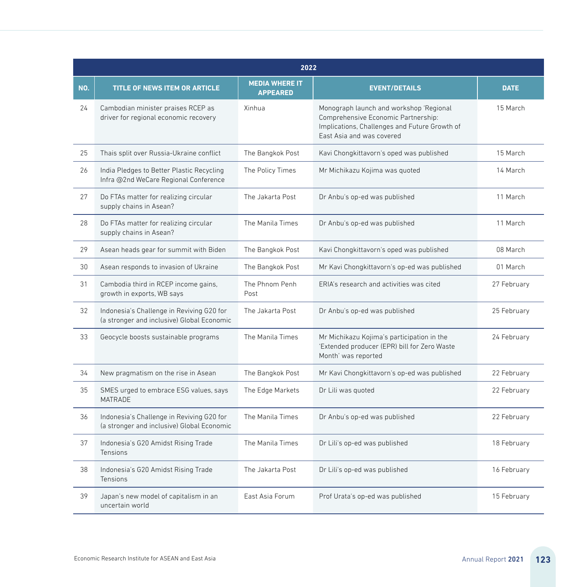|     | 2022                                                                                    |                                          |                                                                                                                                                              |             |  |
|-----|-----------------------------------------------------------------------------------------|------------------------------------------|--------------------------------------------------------------------------------------------------------------------------------------------------------------|-------------|--|
| NO. | TITLE OF NEWS ITEM OR ARTICLE                                                           | <b>MEDIA WHERE IT</b><br><b>APPEARED</b> | <b>EVENT/DETAILS</b>                                                                                                                                         | <b>DATE</b> |  |
| 24  | Cambodian minister praises RCEP as<br>driver for regional economic recovery             | Xinhua                                   | Monograph launch and workshop 'Regional<br>Comprehensive Economic Partnership:<br>Implications, Challenges and Future Growth of<br>East Asia and was covered | 15 March    |  |
| 25  | Thais split over Russia-Ukraine conflict                                                | The Bangkok Post                         | Kavi Chongkittavorn's oped was published                                                                                                                     | 15 March    |  |
| 26  | India Pledges to Better Plastic Recycling<br>Infra @2nd WeCare Regional Conference      | The Policy Times                         | Mr Michikazu Kojima was guoted                                                                                                                               | 14 March    |  |
| 27  | Do FTAs matter for realizing circular<br>supply chains in Asean?                        | The Jakarta Post                         | Dr Anbu's op-ed was published                                                                                                                                | 11 March    |  |
| 28  | Do FTAs matter for realizing circular<br>supply chains in Asean?                        | The Manila Times                         | Dr Anbu's op-ed was published                                                                                                                                | 11 March    |  |
| 29  | Asean heads gear for summit with Biden                                                  | The Bangkok Post                         | Kavi Chongkittavorn's oped was published                                                                                                                     | 08 March    |  |
| 30  | Asean responds to invasion of Ukraine                                                   | The Bangkok Post                         | Mr Kavi Chongkittavorn's op-ed was published                                                                                                                 | 01 March    |  |
| 31  | Cambodia third in RCEP income gains,<br>growth in exports, WB says                      | The Phnom Penh<br>Post                   | ERIA's research and activities was cited                                                                                                                     | 27 February |  |
| 32  | Indonesia's Challenge in Reviving G20 for<br>(a stronger and inclusive) Global Economic | The Jakarta Post                         | Dr Anbu's op-ed was published                                                                                                                                | 25 February |  |
| 33  | Geocycle boosts sustainable programs                                                    | The Manila Times                         | Mr Michikazu Kojima's participation in the<br>'Extended producer (EPR) bill for Zero Waste<br>Month' was reported                                            | 24 February |  |
| 34  | New pragmatism on the rise in Asean                                                     | The Bangkok Post                         | Mr Kavi Chongkittavorn's op-ed was published                                                                                                                 | 22 February |  |
| 35  | SMES urged to embrace ESG values, says<br>MATRADE                                       | The Edge Markets                         | Dr Lili was quoted                                                                                                                                           | 22 February |  |
| 36  | Indonesia's Challenge in Reviving G20 for<br>(a stronger and inclusive) Global Economic | The Manila Times                         | Dr Anbu's op-ed was published                                                                                                                                | 22 February |  |
| 37  | Indonesia's G20 Amidst Rising Trade<br>Tensions                                         | The Manila Times                         | Dr Lili's op-ed was published                                                                                                                                | 18 February |  |
| 38  | Indonesia's G20 Amidst Rising Trade<br>Tensions                                         | The Jakarta Post                         | Dr Lili's op-ed was published                                                                                                                                | 16 February |  |
| 39  | Japan's new model of capitalism in an<br>uncertain world                                | East Asia Forum                          | Prof Urata's op-ed was published                                                                                                                             | 15 February |  |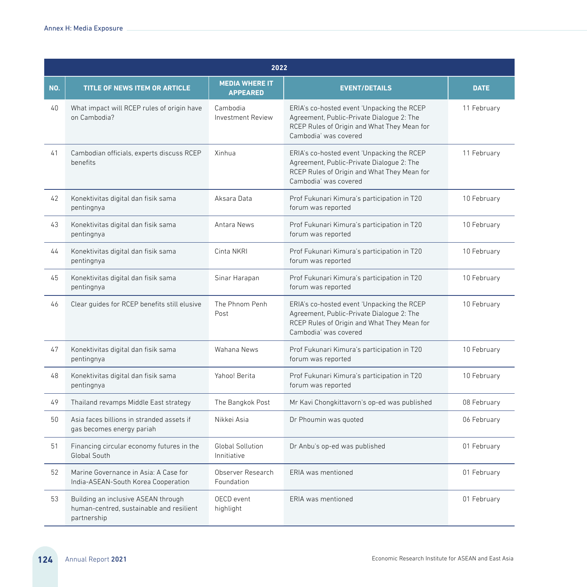|     | 2022                                                                                           |                                          |                                                                                                                                                                 |             |  |  |
|-----|------------------------------------------------------------------------------------------------|------------------------------------------|-----------------------------------------------------------------------------------------------------------------------------------------------------------------|-------------|--|--|
| NO. | TITLE OF NEWS ITEM OR ARTICLE                                                                  | <b>MEDIA WHERE IT</b><br><b>APPEARED</b> | <b>EVENT/DETAILS</b>                                                                                                                                            | <b>DATE</b> |  |  |
| 40  | What impact will RCEP rules of origin have<br>on Cambodia?                                     | Cambodia<br><b>Investment Review</b>     | ERIA's co-hosted event 'Unpacking the RCEP<br>Agreement, Public-Private Dialogue 2: The<br>RCEP Rules of Origin and What They Mean for<br>Cambodia' was covered | 11 February |  |  |
| 41  | Cambodian officials, experts discuss RCEP<br>benefits                                          | Xinhua                                   | ERIA's co-hosted event 'Unpacking the RCEP<br>Agreement, Public-Private Dialogue 2: The<br>RCEP Rules of Origin and What They Mean for<br>Cambodia' was covered | 11 February |  |  |
| 42  | Konektivitas digital dan fisik sama<br>pentingnya                                              | Aksara Data                              | Prof Fukunari Kimura's participation in T20<br>forum was reported                                                                                               | 10 February |  |  |
| 43  | Konektivitas digital dan fisik sama<br>pentingnya                                              | Antara News                              | Prof Fukunari Kimura's participation in T20<br>forum was reported                                                                                               | 10 February |  |  |
| 44  | Konektivitas digital dan fisik sama<br>pentingnya                                              | Cinta NKRI                               | Prof Fukunari Kimura's participation in T20<br>forum was reported                                                                                               | 10 February |  |  |
| 45  | Konektivitas digital dan fisik sama<br>pentingnya                                              | Sinar Harapan                            | Prof Fukunari Kimura's participation in T20<br>forum was reported                                                                                               | 10 February |  |  |
| 46  | Clear guides for RCEP benefits still elusive                                                   | The Phnom Penh<br>Post                   | ERIA's co-hosted event 'Unpacking the RCEP<br>Agreement, Public-Private Dialogue 2: The<br>RCEP Rules of Origin and What They Mean for<br>Cambodia' was covered | 10 February |  |  |
| 47  | Konektivitas digital dan fisik sama<br>pentingnya                                              | Wahana News                              | Prof Fukunari Kimura's participation in T20<br>forum was reported                                                                                               | 10 February |  |  |
| 48  | Konektivitas digital dan fisik sama<br>pentingnya                                              | Yahoo! Berita                            | Prof Fukunari Kimura's participation in T20<br>forum was reported                                                                                               | 10 February |  |  |
| 49  | Thailand revamps Middle East strategy                                                          | The Bangkok Post                         | Mr Kavi Chongkittavorn's op-ed was published                                                                                                                    | 08 February |  |  |
| 50  | Asia faces billions in stranded assets if<br>gas becomes energy pariah                         | Nikkei Asia                              | Dr Phoumin was quoted                                                                                                                                           | 06 February |  |  |
| 51  | Financing circular economy futures in the<br>Global South                                      | Global Sollution<br>Innitiative          | Dr Anbu's op-ed was published                                                                                                                                   | 01 February |  |  |
| 52  | Marine Governance in Asia: A Case for<br>India-ASEAN-South Korea Cooperation                   | Observer Research<br>Foundation          | ERIA was mentioned                                                                                                                                              | 01 February |  |  |
| 53  | Building an inclusive ASEAN through<br>human-centred, sustainable and resilient<br>partnership | OECD event<br>highlight                  | ERIA was mentioned                                                                                                                                              | 01 February |  |  |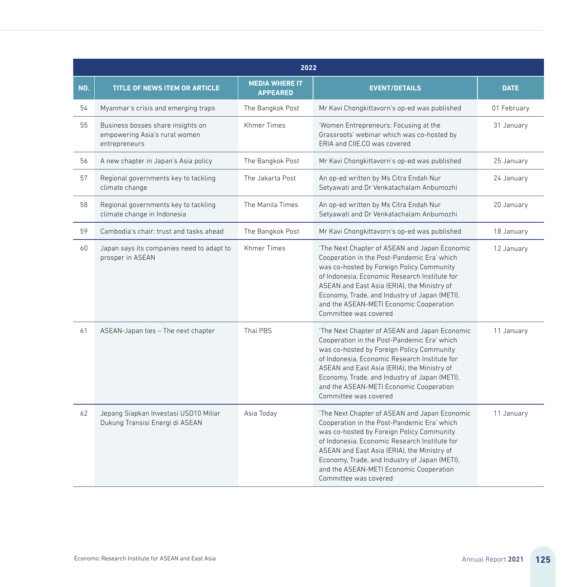|     | 2022                                                                                |                                          |                                                                                                                                                                                                                                                                                                                                                                |             |  |
|-----|-------------------------------------------------------------------------------------|------------------------------------------|----------------------------------------------------------------------------------------------------------------------------------------------------------------------------------------------------------------------------------------------------------------------------------------------------------------------------------------------------------------|-------------|--|
| NO. | <b>TITLE OF NEWS ITEM OR ARTICLE</b>                                                | <b>MEDIA WHERE IT</b><br><b>APPEARED</b> | <b>EVENT/DETAILS</b>                                                                                                                                                                                                                                                                                                                                           | <b>DATE</b> |  |
| 54  | Myanmar's crisis and emerging traps                                                 | The Bangkok Post                         | Mr Kavi Chongkittavorn's op-ed was published                                                                                                                                                                                                                                                                                                                   | 01 February |  |
| 55  | Business bosses share insights on<br>empowering Asia's rural women<br>entrepreneurs | <b>Khmer Times</b>                       | 'Women Entrepreneurs: Focusing at the<br>Grassroots' webinar which was co-hosted by<br>ERIA and CIIE.CO was covered                                                                                                                                                                                                                                            | 31 January  |  |
| 56  | A new chapter in Japan's Asia policy                                                | The Bangkok Post                         | Mr Kavi Chongkittavorn's op-ed was published                                                                                                                                                                                                                                                                                                                   | 25 January  |  |
| 57  | Regional governments key to tackling<br>climate change                              | The Jakarta Post                         | An op-ed written by Ms Citra Endah Nur<br>Setyawati and Dr Venkatachalam Anbumozhi                                                                                                                                                                                                                                                                             | 24 January  |  |
| 58  | Regional governments key to tackling<br>climate change in Indonesia                 | The Manila Times                         | An op-ed written by Ms Citra Endah Nur<br>Setyawati and Dr Venkatachalam Anbumozhi                                                                                                                                                                                                                                                                             | 20 January  |  |
| 59  | Cambodia's chair: trust and tasks ahead                                             | The Bangkok Post                         | Mr Kavi Chongkittavorn's op-ed was published                                                                                                                                                                                                                                                                                                                   | 18 January  |  |
| 60  | Japan says its companies need to adapt to<br>prosper in ASEAN                       | <b>Khmer Times</b>                       | 'The Next Chapter of ASEAN and Japan Economic<br>Cooperation in the Post-Pandemic Era' which<br>was co-hosted by Foreign Policy Community<br>of Indonesia. Economic Research Institute for<br>ASEAN and East Asia (ERIA), the Ministry of<br>Economy, Trade, and Industry of Japan (METI),<br>and the ASEAN-METI Economic Cooperation<br>Committee was covered | 12 January  |  |
| 61  | ASEAN-Japan ties - The next chapter                                                 | Thai PBS                                 | 'The Next Chapter of ASEAN and Japan Economic<br>Cooperation in the Post-Pandemic Era' which<br>was co-hosted by Foreign Policy Community<br>of Indonesia. Economic Research Institute for<br>ASEAN and East Asia (ERIA), the Ministry of<br>Economy, Trade, and Industry of Japan (METI),<br>and the ASEAN-METI Economic Cooperation<br>Committee was covered | 11 January  |  |
| 62  | Jepang Siapkan Investasi USD10 Miliar<br>Dukung Transisi Energi di ASEAN            | Asia Today                               | 'The Next Chapter of ASEAN and Japan Economic<br>Cooperation in the Post-Pandemic Era' which<br>was co-hosted by Foreign Policy Community<br>of Indonesia, Economic Research Institute for<br>ASEAN and East Asia (ERIA), the Ministry of<br>Economy, Trade, and Industry of Japan (METI),<br>and the ASEAN-METI Economic Cooperation<br>Committee was covered | 11 January  |  |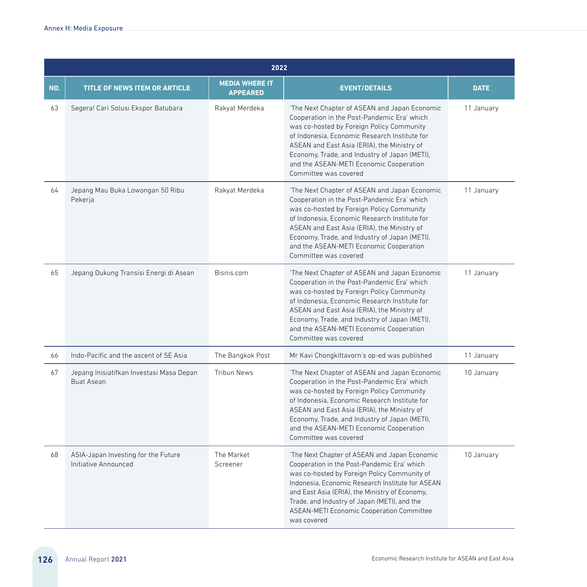|     |                                                               | 2022                                     |                                                                                                                                                                                                                                                                                                                                                                |             |  |  |
|-----|---------------------------------------------------------------|------------------------------------------|----------------------------------------------------------------------------------------------------------------------------------------------------------------------------------------------------------------------------------------------------------------------------------------------------------------------------------------------------------------|-------------|--|--|
| NO. | <b>TITLE OF NEWS ITEM OR ARTICLE</b>                          | <b>MEDIA WHERE IT</b><br><b>APPEARED</b> | <b>EVENT/DETAILS</b>                                                                                                                                                                                                                                                                                                                                           | <b>DATE</b> |  |  |
| 63  | Segera! Cari Solusi Ekspor Batubara                           | Rakyat Merdeka                           | 'The Next Chapter of ASEAN and Japan Economic<br>Cooperation in the Post-Pandemic Era' which<br>was co-hosted by Foreign Policy Community<br>of Indonesia, Economic Research Institute for<br>ASEAN and East Asia (ERIA), the Ministry of<br>Economy, Trade, and Industry of Japan (METI),<br>and the ASEAN-METI Economic Cooperation<br>Committee was covered | 11 January  |  |  |
| 64  | Jepang Mau Buka Lowongan 50 Ribu<br>Pekerja                   | Rakyat Merdeka                           | 'The Next Chapter of ASEAN and Japan Economic<br>Cooperation in the Post-Pandemic Era' which<br>was co-hosted by Foreign Policy Community<br>of Indonesia. Economic Research Institute for<br>ASEAN and East Asia (ERIA), the Ministry of<br>Economy, Trade, and Industry of Japan (METI),<br>and the ASEAN-METI Economic Cooperation<br>Committee was covered | 11 January  |  |  |
| 65  | Jepang Dukung Transisi Energi di Asean                        | Bisnis.com                               | 'The Next Chapter of ASEAN and Japan Economic<br>Cooperation in the Post-Pandemic Era' which<br>was co-hosted by Foreign Policy Community<br>of Indonesia, Economic Research Institute for<br>ASEAN and East Asia (ERIA), the Ministry of<br>Economy, Trade, and Industry of Japan (METI),<br>and the ASEAN-METI Economic Cooperation<br>Committee was covered | 11 January  |  |  |
| 66  | Indo-Pacific and the ascent of SE Asia                        | The Bangkok Post                         | Mr Kavi Chongkittavorn's op-ed was published                                                                                                                                                                                                                                                                                                                   | 11 January  |  |  |
| 67  | Jepang Inisiatifkan Investasi Masa Depan<br><b>Buat Asean</b> | <b>Tribun News</b>                       | 'The Next Chapter of ASEAN and Japan Economic<br>Cooperation in the Post-Pandemic Era' which<br>was co-hosted by Foreign Policy Community<br>of Indonesia, Economic Research Institute for<br>ASEAN and East Asia (ERIA), the Ministry of<br>Economy, Trade, and Industry of Japan (METI),<br>and the ASEAN-METI Economic Cooperation<br>Committee was covered | 10 January  |  |  |
| 68  | ASIA-Japan Investing for the Future<br>Initiative Announced   | The Market<br>Screener                   | 'The Next Chapter of ASEAN and Japan Economic<br>Cooperation in the Post-Pandemic Era' which<br>was co-hosted by Foreign Policy Community of<br>Indonesia. Economic Research Institute for ASEAN<br>and East Asia (ERIA), the Ministry of Economy,<br>Trade, and Industry of Japan (METI), and the<br>ASEAN-METI Economic Cooperation Committee<br>was covered | 10 January  |  |  |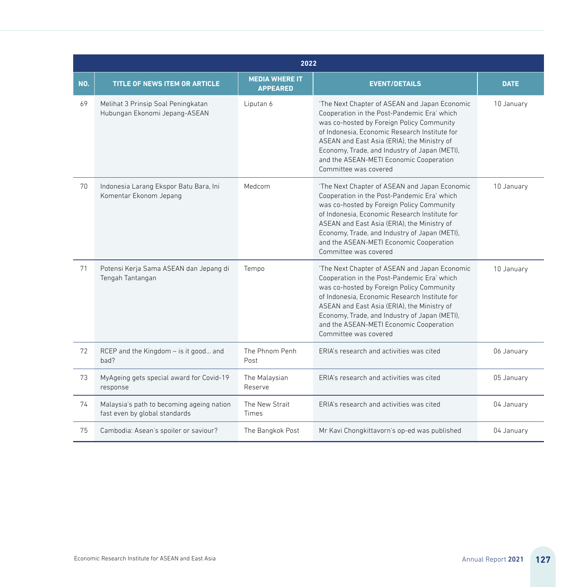|     | 2022                                                                       |                                          |                                                                                                                                                                                                                                                                                                                                                                |             |  |
|-----|----------------------------------------------------------------------------|------------------------------------------|----------------------------------------------------------------------------------------------------------------------------------------------------------------------------------------------------------------------------------------------------------------------------------------------------------------------------------------------------------------|-------------|--|
| NO. | <b>TITLE OF NEWS ITEM OR ARTICLE</b>                                       | <b>MEDIA WHERE IT</b><br><b>APPEARED</b> | <b>EVENT/DETAILS</b>                                                                                                                                                                                                                                                                                                                                           | <b>DATE</b> |  |
| 69  | Melihat 3 Prinsip Soal Peningkatan<br>Hubungan Ekonomi Jepang-ASEAN        | Liputan 6                                | 'The Next Chapter of ASEAN and Japan Economic<br>Cooperation in the Post-Pandemic Era' which<br>was co-hosted by Foreign Policy Community<br>of Indonesia. Economic Research Institute for<br>ASEAN and East Asia (ERIA), the Ministry of<br>Economy, Trade, and Industry of Japan (METI),<br>and the ASEAN-METI Economic Cooperation<br>Committee was covered | 10 January  |  |
| 70  | Indonesia Larang Ekspor Batu Bara, Ini<br>Komentar Ekonom Jepang           | Medcom                                   | 'The Next Chapter of ASEAN and Japan Economic<br>Cooperation in the Post-Pandemic Era' which<br>was co-hosted by Foreign Policy Community<br>of Indonesia. Economic Research Institute for<br>ASEAN and East Asia (ERIA), the Ministry of<br>Economy, Trade, and Industry of Japan (METI),<br>and the ASEAN-METI Economic Cooperation<br>Committee was covered | 10 January  |  |
| 71  | Potensi Kerja Sama ASEAN dan Jepang di<br>Tengah Tantangan                 | Tempo                                    | 'The Next Chapter of ASEAN and Japan Economic<br>Cooperation in the Post-Pandemic Era' which<br>was co-hosted by Foreign Policy Community<br>of Indonesia. Economic Research Institute for<br>ASEAN and East Asia (ERIA), the Ministry of<br>Economy, Trade, and Industry of Japan (METI),<br>and the ASEAN-METI Economic Cooperation<br>Committee was covered | 10 January  |  |
| 72  | RCEP and the Kingdom - is it good and<br>had?                              | The Phnom Penh<br>Post                   | FRIA's research and activities was cited                                                                                                                                                                                                                                                                                                                       | 06 January  |  |
| 73  | MyAgeing gets special award for Covid-19<br>response                       | The Malaysian<br>Reserve                 | FRIA's research and activities was cited                                                                                                                                                                                                                                                                                                                       | 05 January  |  |
| 74  | Malaysia's path to becoming ageing nation<br>fast even by global standards | The New Strait<br>Times                  | ERIA's research and activities was cited                                                                                                                                                                                                                                                                                                                       | 04 January  |  |
| 75  | Cambodia: Asean's spoiler or saviour?                                      | The Bangkok Post                         | Mr Kavi Chongkittavorn's op-ed was published                                                                                                                                                                                                                                                                                                                   | 04 January  |  |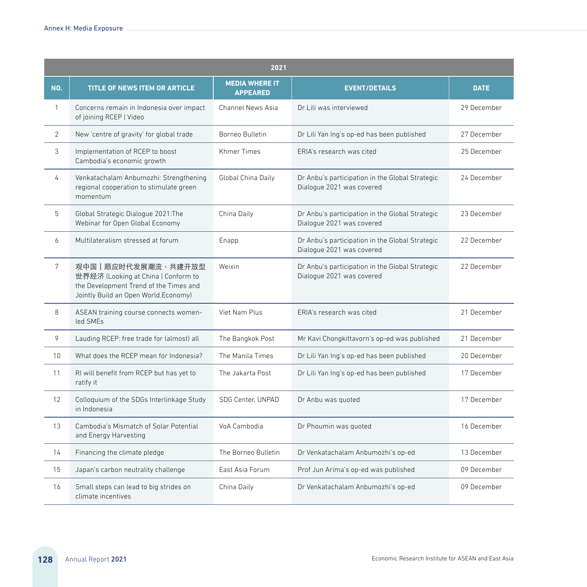|                 | 2021                                                                                                                                        |                                          |                                                                              |             |  |
|-----------------|---------------------------------------------------------------------------------------------------------------------------------------------|------------------------------------------|------------------------------------------------------------------------------|-------------|--|
| NO.             | <b>TITLE OF NEWS ITEM OR ARTICLE</b>                                                                                                        | <b>MEDIA WHERE IT</b><br><b>APPEARED</b> | <b>EVENT/DETAILS</b>                                                         | <b>DATE</b> |  |
| $\mathbf{1}$    | Concerns remain in Indonesia over impact<br>of joining RCEP   Video                                                                         | Channel News Asia                        | Dr Lili was interviewed                                                      | 29 December |  |
| $\overline{2}$  | New 'centre of gravity' for global trade                                                                                                    | Borneo Bulletin                          | Dr Lili Yan Ing's op-ed has been published                                   | 27 December |  |
| 3               | Implementation of RCEP to boost<br>Cambodia's economic growth                                                                               | <b>Khmer Times</b>                       | FRIA's research was cited                                                    | 25 December |  |
| 4               | Venkatachalam Anbumozhi: Strengthening<br>regional cooperation to stimulate green<br>momentum                                               | Global China Daily                       | Dr Anbu's participation in the Global Strategic<br>Dialogue 2021 was covered | 24 December |  |
| 5               | Global Strategic Dialogue 2021: The<br>Webinar for Open Global Economy                                                                      | China Daily                              | Dr Anbu's participation in the Global Strategic<br>Dialogue 2021 was covered | 23 December |  |
| 6               | Multilateralism stressed at forum                                                                                                           | Enapp                                    | Dr Anbu's participation in the Global Strategic<br>Dialogue 2021 was covered | 22 December |  |
| $7\overline{ }$ | 观中国丨顺应时代发展潮流,共建开放型<br>世界经济 (Looking at China   Conform to<br>the Development Trend of the Times and<br>Jointly Build an Open World Economy) | Weixin                                   | Dr Anbu's participation in the Global Strategic<br>Dialogue 2021 was covered | 22 December |  |
| 8               | ASEAN training course connects women-<br>led SMFs                                                                                           | Viet Nam Plus                            | FRIA's research was cited.                                                   | 21 December |  |
| 9               | Lauding RCEP: free trade for (almost) all                                                                                                   | The Bangkok Post                         | Mr Kavi Chongkittavorn's op-ed was published                                 | 21 December |  |
| 10              | What does the RCFP mean for Indonesia?                                                                                                      | The Manila Times                         | Dr Lili Yan Ing's op-ed has been published                                   | 20 December |  |
| 11              | RI will benefit from RCEP but has yet to<br>ratify it                                                                                       | The Jakarta Post                         | Dr Lili Yan Ing's op-ed has been published                                   | 17 December |  |
| 12              | Colloquium of the SDGs Interlinkage Study<br>in Indonesia                                                                                   | SDG Center, UNPAD                        | Dr Anbu was quoted                                                           | 17 December |  |
| 13              | Cambodia's Mismatch of Solar Potential<br>and Energy Harvesting                                                                             | VoA Cambodia                             | Dr Phoumin was quoted                                                        | 16 December |  |
| 14              | Financing the climate pledge                                                                                                                | The Borneo Bulletin                      | Dr Venkatachalam Anbumozhi's op-ed                                           | 13 December |  |
| 15              | Japan's carbon neutrality challenge                                                                                                         | East Asia Forum                          | Prof Jun Arima's op-ed was published                                         | 09 December |  |
| 16              | Small steps can lead to big strides on<br>climate incentives                                                                                | China Daily                              | Dr Venkatachalam Anbumozhi's op-ed                                           | 09 December |  |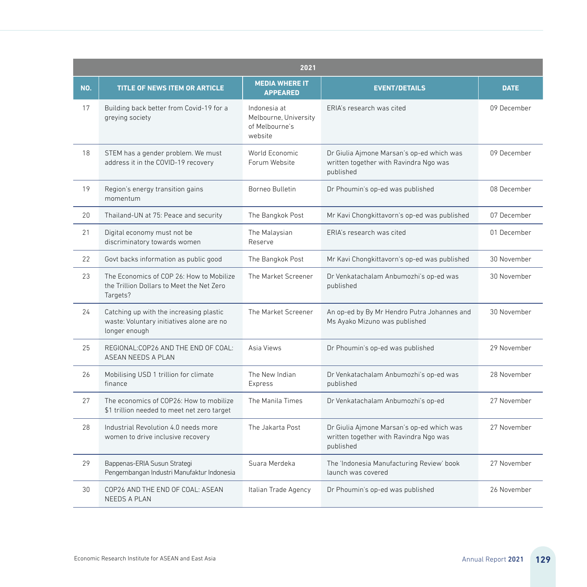|                 | 2021                                                                                                  |                                                                    |                                                                                                  |             |
|-----------------|-------------------------------------------------------------------------------------------------------|--------------------------------------------------------------------|--------------------------------------------------------------------------------------------------|-------------|
| NO.             | <b>TITLE OF NEWS ITEM OR ARTICLE</b>                                                                  | <b>MEDIA WHERE IT</b><br><b>APPEARED</b>                           | <b>EVENT/DETAILS</b>                                                                             | <b>DATE</b> |
| 17              | Building back better from Covid-19 for a<br>greying society                                           | Indonesia at<br>Melbourne, University<br>of Melbourne's<br>website | FRIA's research was cited                                                                        | 09 December |
| 18              | STEM has a gender problem. We must<br>address it in the COVID-19 recovery                             | World Economic<br>Forum Website                                    | Dr Giulia Ajmone Marsan's op-ed which was<br>written together with Ravindra Ngo was<br>published | 09 December |
| 19              | Region's energy transition gains<br>momentum                                                          | Borneo Bulletin                                                    | Dr Phoumin's op-ed was published                                                                 | 08 December |
| 20 <sub>0</sub> | Thailand-UN at 75: Peace and security                                                                 | The Bangkok Post                                                   | Mr Kavi Chongkittavorn's op-ed was published                                                     | 07 December |
| 21              | Digital economy must not be<br>discriminatory towards women                                           | The Malaysian<br>Reserve                                           | ERIA's research was cited                                                                        | 01 December |
| 22              | Govt backs information as public good                                                                 | The Bangkok Post                                                   | Mr Kavi Chongkittavorn's op-ed was published                                                     | 30 November |
| 23              | The Economics of COP 26: How to Mobilize<br>the Trillion Dollars to Meet the Net Zero<br>Targets?     | The Market Screener                                                | Dr Venkatachalam Anbumozhi's op-ed was<br>published                                              | 30 November |
| 24              | Catching up with the increasing plastic<br>waste: Voluntary initiatives alone are no<br>longer enough | The Market Screener                                                | An op-ed by By Mr Hendro Putra Johannes and<br>Ms Ayako Mizuno was published                     | 30 November |
| 25              | REGIONAL: COP26 AND THE END OF COAL:<br>ASEAN NEEDS A PLAN                                            | Asia Views                                                         | Dr Phoumin's op-ed was published                                                                 | 29 November |
| 26              | Mobilising USD 1 trillion for climate<br>finance                                                      | The New Indian<br>Express                                          | Dr Venkatachalam Anbumozhi's op-ed was<br>published                                              | 28 November |
| 27              | The economics of COP26: How to mobilize<br>\$1 trillion needed to meet net zero target                | The Manila Times                                                   | Dr Venkatachalam Anbumozhi's op-ed                                                               | 27 November |
| 28              | Industrial Revolution 4.0 needs more<br>women to drive inclusive recovery                             | The Jakarta Post                                                   | Dr Giulia Ajmone Marsan's op-ed which was<br>written together with Ravindra Ngo was<br>published | 27 November |
| 29              | Bappenas-ERIA Susun Strategi<br>Pengembangan Industri Manufaktur Indonesia                            | Suara Merdeka                                                      | The 'Indonesia Manufacturing Review' book<br>launch was covered                                  | 27 November |
| 30              | COP26 AND THE END OF COAL: ASEAN<br><b>NEEDS A PLAN</b>                                               | Italian Trade Agency                                               | Dr Phoumin's op-ed was published                                                                 | 26 November |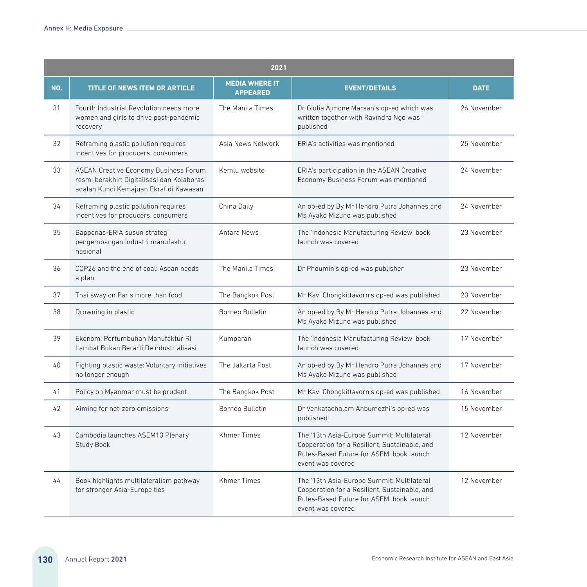| 2021 |                                                                                                                                       |                                          |                                                                                                                                                              |             |
|------|---------------------------------------------------------------------------------------------------------------------------------------|------------------------------------------|--------------------------------------------------------------------------------------------------------------------------------------------------------------|-------------|
| NO.  | <b>TITLE OF NEWS ITEM OR ARTICLE</b>                                                                                                  | <b>MEDIA WHERE IT</b><br><b>APPEARED</b> | <b>EVENT/DETAILS</b>                                                                                                                                         | <b>DATE</b> |
| 31   | Fourth Industrial Revolution needs more<br>women and girls to drive post-pandemic<br>recovery                                         | The Manila Times                         | Dr Giulia Ajmone Marsan's op-ed which was<br>written together with Ravindra Ngo was<br>published                                                             | 26 November |
| 32   | Reframing plastic pollution requires<br>incentives for producers, consumers                                                           | Asia News Network                        | FRIA's activities was mentioned                                                                                                                              | 25 November |
| 33   | <b>ASEAN Creative Economy Business Forum</b><br>resmi berakhir: Digitalisasi dan Kolaborasi<br>adalah Kunci Kemajuan Ekraf di Kawasan | Kemlu website                            | ERIA's participation in the ASEAN Creative<br>Economy Business Forum was mentioned                                                                           | 24 November |
| 34   | Reframing plastic pollution requires<br>incentives for producers, consumers                                                           | China Daily                              | An op-ed by By Mr Hendro Putra Johannes and<br>Ms Ayako Mizuno was published                                                                                 | 24 November |
| 35   | Bappenas-ERIA susun strategi<br>pengembangan industri manufaktur<br>nasional                                                          | Antara News                              | The 'Indonesia Manufacturing Review' book<br>launch was covered                                                                                              | 23 November |
| 36   | COP26 and the end of coal: Asean needs<br>a plan                                                                                      | The Manila Times                         | Dr Phoumin's op-ed was publisher                                                                                                                             | 23 November |
| 37   | Thai sway on Paris more than food                                                                                                     | The Bangkok Post                         | Mr Kavi Chongkittavorn's op-ed was published                                                                                                                 | 23 November |
| 38   | Drowning in plastic                                                                                                                   | Borneo Bulletin                          | An op-ed by By Mr Hendro Putra Johannes and<br>Ms Ayako Mizuno was published                                                                                 | 22 November |
| 39   | Ekonom: Pertumbuhan Manufaktur RI<br>Lambat Bukan Berarti Deindustrialisasi                                                           | Kumparan                                 | The 'Indonesia Manufacturing Review' book<br>launch was covered                                                                                              | 17 November |
| 40   | Fighting plastic waste: Voluntary initiatives<br>no longer enough                                                                     | The Jakarta Post                         | An op-ed by By Mr Hendro Putra Johannes and<br>Ms Ayako Mizuno was published                                                                                 | 17 November |
| 41   | Policy on Myanmar must be prudent                                                                                                     | The Bangkok Post                         | Mr Kavi Chongkittavorn's op-ed was published                                                                                                                 | 16 November |
| 42   | Aiming for net-zero emissions                                                                                                         | Borneo Bulletin                          | Dr Venkatachalam Anbumozhi's op-ed was<br>published                                                                                                          | 15 November |
| 43   | Cambodia launches ASEM13 Plenary<br>Study Book                                                                                        | <b>Khmer Times</b>                       | The '13th Asia-Europe Summit: Multilateral<br>Cooperation for a Resilient, Sustainable, and<br>Rules-Based Future for ASEM' book launch<br>event was covered | 12 November |
| 44   | Book highlights multilateralism pathway<br>for stronger Asia-Europe ties                                                              | <b>Khmer Times</b>                       | The '13th Asia-Europe Summit: Multilateral<br>Cooperation for a Resilient, Sustainable, and<br>Rules-Based Future for ASEM' book launch<br>event was covered | 12 November |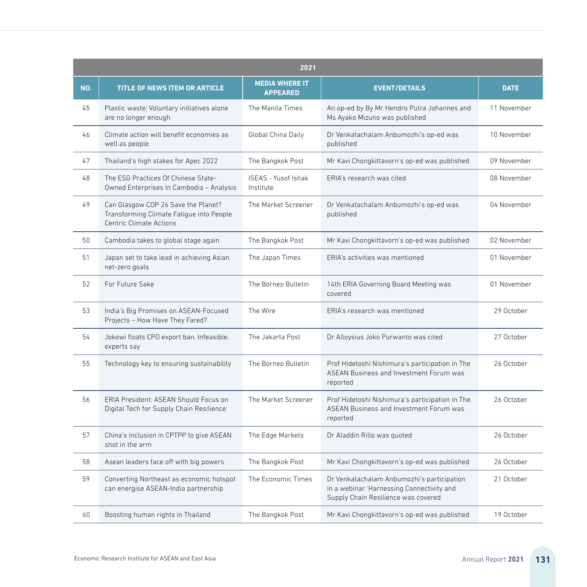|     | 2021                                                                                                       |                                          |                                                                                                                                |             |  |
|-----|------------------------------------------------------------------------------------------------------------|------------------------------------------|--------------------------------------------------------------------------------------------------------------------------------|-------------|--|
| NO. | TITLE OF NEWS ITEM OR ARTICLE                                                                              | <b>MEDIA WHERE IT</b><br><b>APPEARED</b> | <b>EVENT/DETAILS</b>                                                                                                           | <b>DATE</b> |  |
| 45  | Plastic waste: Voluntary initiatives alone<br>are no longer enough                                         | The Manila Times                         | An op-ed by By Mr Hendro Putra Johannes and<br>Ms Ayako Mizuno was published                                                   | 11 November |  |
| 46  | Climate action will benefit economies as<br>well as people                                                 | Global China Daily                       | Dr Venkatachalam Anbumozhi's op-ed was<br>published                                                                            | 10 November |  |
| 47  | Thailand's high stakes for Apec 2022                                                                       | The Bangkok Post                         | Mr Kavi Chongkittavorn's op-ed was published                                                                                   | 09 November |  |
| 48  | The ESG Practices Of Chinese State-<br>Owned Enterprises In Cambodia - Analysis                            | ISEAS - Yusof Ishak<br>Institute         | ERIA's research was cited                                                                                                      | 08 November |  |
| 49  | Can Glasgow COP 26 Save the Planet?<br>Transforming Climate Fatigue into People<br>Centric Climate Actions | The Market Screener                      | Dr Venkatachalam Anbumozhi's op-ed was<br>published                                                                            | 04 November |  |
| 50  | Cambodia takes to global stage again                                                                       | The Bangkok Post                         | Mr Kavi Chongkittavorn's op-ed was published                                                                                   | 02 November |  |
| 51  | Japan set to take lead in achieving Asian<br>net-zero goals                                                | The Japan Times                          | ERIA's activities was mentioned                                                                                                | 01 November |  |
| 52  | For Future Sake                                                                                            | The Borneo Bulletin                      | 14th ERIA Governing Board Meeting was<br>covered                                                                               | 01 November |  |
| 53  | India's Big Promises on ASEAN-Focused<br>Projects - How Have They Fared?                                   | The Wire                                 | ERIA's research was mentioned                                                                                                  | 29 October  |  |
| 54  | Jokowi floats CPO export ban. Infeasible,<br>experts say                                                   | The Jakarta Post                         | Dr Alloysius Joko Purwanto was cited                                                                                           | 27 October  |  |
| 55  | Technology key to ensuring sustainability                                                                  | The Borneo Bulletin                      | Prof Hidetoshi Nishimura's participation in The<br><b>ASEAN Business and Investment Forum was</b><br>reported                  | 26 October  |  |
| 56  | ERIA President: ASEAN Should Focus on<br>Digital Tech for Supply Chain Resilience                          | The Market Screener                      | Prof Hidetoshi Nishimura's participation in The<br>ASEAN Business and Investment Forum was<br>reported                         | 26 October  |  |
| 57  | China's inclusion in CPTPP to give ASEAN<br>shot in the arm                                                | The Edge Markets                         | Dr Aladdin Rillo was quoted                                                                                                    | 26 October  |  |
| 58  | Asean leaders face off with big powers                                                                     | The Bangkok Post                         | Mr Kavi Chongkittavorn's op-ed was published                                                                                   | 26 October  |  |
| 59  | Converting Northeast as economic hotspot<br>can energise ASEAN-India partnership                           | The Economic Times                       | Dr Venkatachalam Anbumozhi's participation<br>in a webinar 'Harnessing Connectivity and<br>Supply Chain Resilience was covered | 21 October  |  |
| 60  | Boosting human rights in Thailand                                                                          | The Bangkok Post                         | Mr Kavi Chongkittavorn's op-ed was published                                                                                   | 19 October  |  |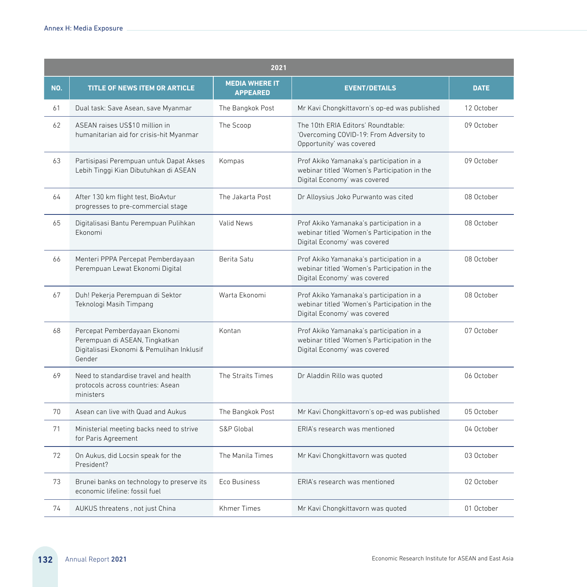|     | 2021                                                                                                                   |                                          |                                                                                                                          |             |  |
|-----|------------------------------------------------------------------------------------------------------------------------|------------------------------------------|--------------------------------------------------------------------------------------------------------------------------|-------------|--|
| NO. | <b>TITLE OF NEWS ITEM OR ARTICLE</b>                                                                                   | <b>MEDIA WHERE IT</b><br><b>APPEARED</b> | <b>EVENT/DETAILS</b>                                                                                                     | <b>DATE</b> |  |
| 61  | Dual task: Save Asean, save Myanmar                                                                                    | The Bangkok Post                         | Mr Kavi Chongkittavorn's op-ed was published                                                                             | 12 October  |  |
| 62  | ASEAN raises US\$10 million in<br>humanitarian aid for crisis-hit Myanmar                                              | The Scoop                                | The 10th ERIA Editors' Roundtable:<br>'Overcoming COVID-19: From Adversity to<br>Opportunity' was covered                | 09 October  |  |
| 63  | Partisipasi Perempuan untuk Dapat Akses<br>Lebih Tinggi Kian Dibutuhkan di ASEAN                                       | Kompas                                   | Prof Akiko Yamanaka's participation in a<br>webinar titled 'Women's Participation in the<br>Digital Economy' was covered | 09 October  |  |
| 64  | After 130 km flight test, BioAvtur<br>progresses to pre-commercial stage                                               | The Jakarta Post                         | Dr Alloysius Joko Purwanto was cited                                                                                     | 08 October  |  |
| 65  | Digitalisasi Bantu Perempuan Pulihkan<br>Fkonomi                                                                       | Valid News                               | Prof Akiko Yamanaka's participation in a<br>webinar titled 'Women's Participation in the<br>Digital Economy' was covered | 08 October  |  |
| 66  | Menteri PPPA Percepat Pemberdayaan<br>Perempuan Lewat Ekonomi Digital                                                  | Berita Satu                              | Prof Akiko Yamanaka's participation in a<br>webinar titled 'Women's Participation in the<br>Digital Economy' was covered | 08 October  |  |
| 67  | Duh! Pekerja Perempuan di Sektor<br>Teknologi Masih Timpang                                                            | Warta Ekonomi                            | Prof Akiko Yamanaka's participation in a<br>webinar titled 'Women's Participation in the<br>Digital Economy' was covered | 08 October  |  |
| 68  | Percepat Pemberdayaan Ekonomi<br>Perempuan di ASEAN, Tingkatkan<br>Digitalisasi Ekonomi & Pemulihan Inklusif<br>Gender | Kontan                                   | Prof Akiko Yamanaka's participation in a<br>webinar titled 'Women's Participation in the<br>Digital Economy' was covered | 07 October  |  |
| 69  | Need to standardise travel and health<br>protocols across countries: Asean<br>ministers                                | The Straits Times                        | Dr Aladdin Rillo was quoted                                                                                              | 06 October  |  |
| 70  | Asean can live with Quad and Aukus                                                                                     | The Bangkok Post                         | Mr Kavi Chongkittavorn's op-ed was published                                                                             | 05 October  |  |
| 71  | Ministerial meeting backs need to strive<br>for Paris Agreement                                                        | S&P Global                               | ERIA's research was mentioned                                                                                            | 04 October  |  |
| 72  | On Aukus, did Locsin speak for the<br>President?                                                                       | The Manila Times                         | Mr Kavi Chongkittavorn was quoted                                                                                        | 03 October  |  |
| 73  | Brunei banks on technology to preserve its<br>economic lifeline: fossil fuel                                           | Eco Business                             | ERIA's research was mentioned                                                                                            | 02 October  |  |
| 74  | AUKUS threatens, not just China                                                                                        | <b>Khmer Times</b>                       | Mr Kavi Chongkittavorn was quoted                                                                                        | 01 October  |  |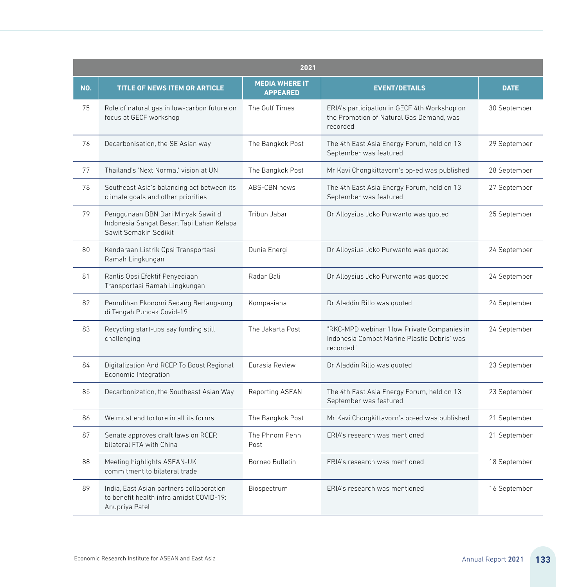|     | 2021                                                                                                      |                                          |                                                                                                        |              |  |
|-----|-----------------------------------------------------------------------------------------------------------|------------------------------------------|--------------------------------------------------------------------------------------------------------|--------------|--|
| NO. | <b>TITLE OF NEWS ITEM OR ARTICLE</b>                                                                      | <b>MEDIA WHERE IT</b><br><b>APPEARED</b> | <b>EVENT/DETAILS</b>                                                                                   | <b>DATE</b>  |  |
| 75  | Role of natural gas in low-carbon future on<br>focus at GECF workshop                                     | The Gulf Times                           | ERIA's participation in GECF 4th Workshop on<br>the Promotion of Natural Gas Demand, was<br>recorded   | 30 September |  |
| 76  | Decarbonisation, the SE Asian way                                                                         | The Bangkok Post                         | The 4th East Asia Energy Forum, held on 13<br>September was featured                                   | 29 September |  |
| 77  | Thailand's 'Next Normal' vision at UN                                                                     | The Bangkok Post                         | Mr Kavi Chongkittavorn's op-ed was published                                                           | 28 September |  |
| 78  | Southeast Asia's balancing act between its<br>climate goals and other priorities                          | ABS-CBN news                             | The 4th East Asia Energy Forum, held on 13<br>September was featured                                   | 27 September |  |
| 79  | Penggunaan BBN Dari Minyak Sawit di<br>Indonesia Sangat Besar, Tapi Lahan Kelapa<br>Sawit Semakin Sedikit | Tribun Jabar                             | Dr Alloysius Joko Purwanto was quoted                                                                  | 25 September |  |
| 80  | Kendaraan Listrik Opsi Transportasi<br>Ramah Lingkungan                                                   | Dunia Energi                             | Dr Alloysius Joko Purwanto was quoted                                                                  | 24 September |  |
| 81  | Ranlis Opsi Efektif Penyediaan<br>Transportasi Ramah Lingkungan                                           | Radar Bali                               | Dr Alloysius Joko Purwanto was quoted                                                                  | 24 September |  |
| 82  | Pemulihan Ekonomi Sedang Berlangsung<br>di Tengah Puncak Covid-19                                         | Kompasiana                               | Dr Aladdin Rillo was quoted                                                                            | 24 September |  |
| 83  | Recycling start-ups say funding still<br>challenging                                                      | The Jakarta Post                         | "RKC-MPD webinar 'How Private Companies in<br>Indonesia Combat Marine Plastic Debris' was<br>recorded" | 24 September |  |
| 84  | Digitalization And RCEP To Boost Regional<br>Economic Integration                                         | Eurasia Review                           | Dr Aladdin Rillo was quoted                                                                            | 23 September |  |
| 85  | Decarbonization, the Southeast Asian Way                                                                  | Reporting ASEAN                          | The 4th East Asia Energy Forum, held on 13<br>September was featured                                   | 23 September |  |
| 86  | We must end torture in all its forms                                                                      | The Bangkok Post                         | Mr Kavi Chongkittavorn's op-ed was published                                                           | 21 September |  |
| 87  | Senate approves draft laws on RCEP,<br>bilateral FTA with China                                           | The Phnom Penh<br>Post                   | FRIA's research was mentioned                                                                          | 21 September |  |
| 88  | Meeting highlights ASEAN-UK<br>commitment to bilateral trade                                              | Borneo Bulletin                          | ERIA's research was mentioned                                                                          | 18 September |  |
| 89  | India, East Asian partners collaboration<br>to benefit health infra amidst COVID-19:<br>Anupriya Patel    | Biospectrum                              | ERIA's research was mentioned                                                                          | 16 September |  |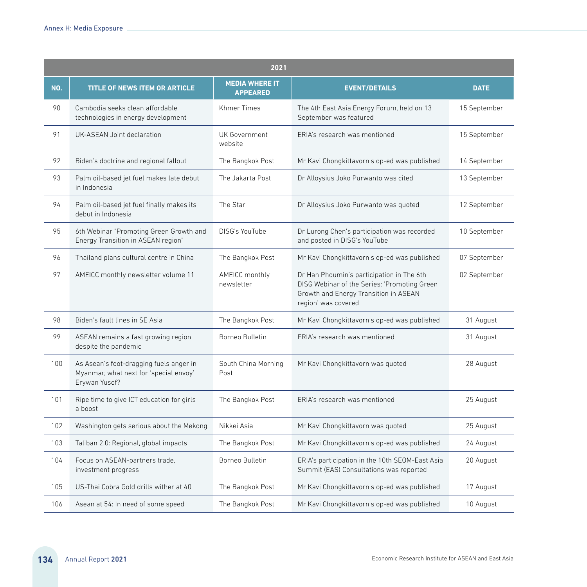|     | 2021                                                                                               |                                          |                                                                                                                                                           |              |  |
|-----|----------------------------------------------------------------------------------------------------|------------------------------------------|-----------------------------------------------------------------------------------------------------------------------------------------------------------|--------------|--|
| NO. | <b>TITLE OF NEWS ITEM OR ARTICLE</b>                                                               | <b>MEDIA WHERE IT</b><br><b>APPEARED</b> | <b>EVENT/DETAILS</b>                                                                                                                                      | <b>DATE</b>  |  |
| 90  | Cambodia seeks clean affordable<br>technologies in energy development                              | <b>Khmer Times</b>                       | The 4th East Asia Energy Forum, held on 13<br>September was featured                                                                                      | 15 September |  |
| 91  | UK-ASEAN Joint declaration                                                                         | UK Government<br>website                 | ERIA's research was mentioned                                                                                                                             | 15 September |  |
| 92  | Biden's doctrine and regional fallout                                                              | The Bangkok Post                         | Mr Kavi Chongkittavorn's op-ed was published                                                                                                              | 14 September |  |
| 93  | Palm oil-based jet fuel makes late debut<br>in Indonesia                                           | The Jakarta Post                         | Dr Alloysius Joko Purwanto was cited                                                                                                                      | 13 September |  |
| 94  | Palm oil-based jet fuel finally makes its<br>debut in Indonesia                                    | The Star                                 | Dr Alloysius Joko Purwanto was quoted                                                                                                                     | 12 September |  |
| 95  | 6th Webinar "Promoting Green Growth and<br>Energy Transition in ASEAN region"                      | DISG's YouTube                           | Dr Lurong Chen's participation was recorded<br>and posted in DISG's YouTube                                                                               | 10 September |  |
| 96  | Thailand plans cultural centre in China                                                            | The Bangkok Post                         | Mr Kavi Chongkittavorn's op-ed was published                                                                                                              | 07 September |  |
| 97  | AMEICC monthly newsletter volume 11                                                                | AMEICC monthly<br>newsletter             | Dr Han Phoumin's participation in The 6th<br>DISG Webinar of the Series: 'Promoting Green<br>Growth and Energy Transition in ASEAN<br>region' was covered | 02 September |  |
| 98  | Biden's fault lines in SE Asia                                                                     | The Bangkok Post                         | Mr Kavi Chongkittavorn's op-ed was published                                                                                                              | 31 August    |  |
| 99  | ASEAN remains a fast growing region<br>despite the pandemic                                        | Borneo Bulletin                          | ERIA's research was mentioned                                                                                                                             | 31 August    |  |
| 100 | As Asean's foot-dragging fuels anger in<br>Myanmar, what next for 'special envoy'<br>Erywan Yusof? | South China Morning<br>Post              | Mr Kavi Chongkittavorn was quoted                                                                                                                         | 28 August    |  |
| 101 | Ripe time to give ICT education for girls<br>a boost                                               | The Bangkok Post                         | ERIA's research was mentioned                                                                                                                             | 25 August    |  |
| 102 | Washington gets serious about the Mekong                                                           | Nikkei Asia                              | Mr Kavi Chongkittavorn was quoted                                                                                                                         | 25 August    |  |
| 103 | Taliban 2.0: Regional, global impacts                                                              | The Bangkok Post                         | Mr Kavi Chongkittavorn's op-ed was published                                                                                                              | 24 August    |  |
| 104 | Focus on ASEAN-partners trade,<br>investment progress                                              | Borneo Bulletin                          | ERIA's participation in the 10th SEOM-East Asia<br>Summit (EAS) Consultations was reported                                                                | 20 August    |  |
| 105 | US-Thai Cobra Gold drills wither at 40                                                             | The Bangkok Post                         | Mr Kavi Chongkittavorn's op-ed was published                                                                                                              | 17 August    |  |
| 106 | Asean at 54: In need of some speed                                                                 | The Bangkok Post                         | Mr Kavi Chongkittavorn's op-ed was published                                                                                                              | 10 August    |  |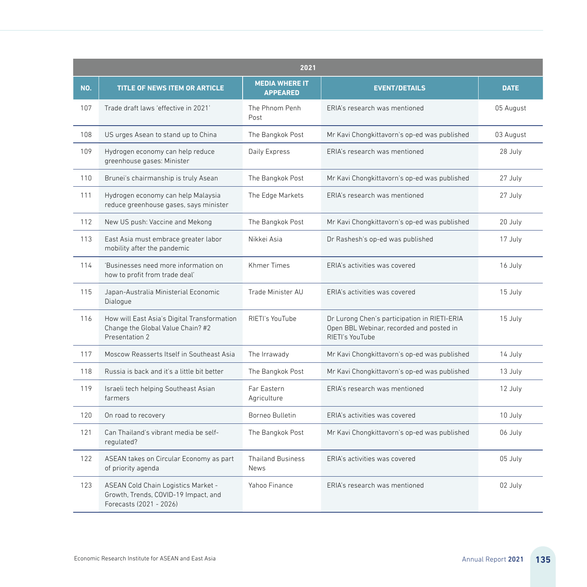|     | 2021                                                                                                   |                                          |                                                                                                             |             |  |
|-----|--------------------------------------------------------------------------------------------------------|------------------------------------------|-------------------------------------------------------------------------------------------------------------|-------------|--|
| NO. | TITLE OF NEWS ITEM OR ARTICLE                                                                          | <b>MEDIA WHERE IT</b><br><b>APPEARED</b> | <b>EVENT/DETAILS</b>                                                                                        | <b>DATE</b> |  |
| 107 | Trade draft laws 'effective in 2021'                                                                   | The Phnom Penh<br>Post                   | ERIA's research was mentioned                                                                               | 05 August   |  |
| 108 | US urges Asean to stand up to China                                                                    | The Bangkok Post                         | Mr Kavi Chongkittavorn's op-ed was published                                                                | 03 August   |  |
| 109 | Hydrogen economy can help reduce<br>greenhouse gases: Minister                                         | Daily Express                            | ERIA's research was mentioned                                                                               | 28 July     |  |
| 110 | Brunei's chairmanship is truly Asean                                                                   | The Bangkok Post                         | Mr Kavi Chongkittavorn's op-ed was published                                                                | 27 July     |  |
| 111 | Hydrogen economy can help Malaysia<br>reduce greenhouse gases, says minister                           | The Edge Markets                         | FRIA's research was mentioned                                                                               | 27 July     |  |
| 112 | New US push: Vaccine and Mekong                                                                        | The Bangkok Post                         | Mr Kavi Chongkittavorn's op-ed was published                                                                | 20 July     |  |
| 113 | East Asia must embrace greater labor<br>mobility after the pandemic                                    | Nikkei Asia                              | Dr Rashesh's op-ed was published                                                                            | 17 July     |  |
| 114 | 'Businesses need more information on<br>how to profit from trade deal'                                 | <b>Khmer Times</b>                       | FRIA's activities was covered                                                                               | 16 July     |  |
| 115 | Japan-Australia Ministerial Economic<br>Dialogue                                                       | Trade Minister AU                        | ERIA's activities was covered                                                                               | 15 July     |  |
| 116 | How will East Asia's Digital Transformation<br>Change the Global Value Chain? #2<br>Presentation 2     | RIETI's YouTube                          | Dr Lurong Chen's participation in RIETI-ERIA<br>Open BBL Webinar, recorded and posted in<br>RIETI's YouTube | 15 July     |  |
| 117 | Moscow Reasserts Itself in Southeast Asia                                                              | The Irrawady                             | Mr Kavi Chongkittavorn's op-ed was published                                                                | 14 July     |  |
| 118 | Russia is back and it's a little bit better                                                            | The Bangkok Post                         | Mr Kavi Chongkittavorn's op-ed was published                                                                | 13 July     |  |
| 119 | Israeli tech helping Southeast Asian<br>farmers                                                        | Far Eastern<br>Agriculture               | ERIA's research was mentioned                                                                               | 12 July     |  |
| 120 | On road to recovery                                                                                    | Borneo Bulletin                          | ERIA's activities was covered                                                                               | 10 July     |  |
| 121 | Can Thailand's vibrant media be self-<br>regulated?                                                    | The Bangkok Post                         | Mr Kavi Chongkittavorn's op-ed was published                                                                | 06 July     |  |
| 122 | ASEAN takes on Circular Economy as part<br>of priority agenda                                          | <b>Thailand Business</b><br>News         | FRIA's activities was covered                                                                               | 05 July     |  |
| 123 | ASEAN Cold Chain Logistics Market -<br>Growth, Trends, COVID-19 Impact, and<br>Forecasts (2021 - 2026) | Yahoo Finance                            | ERIA's research was mentioned                                                                               | 02 July     |  |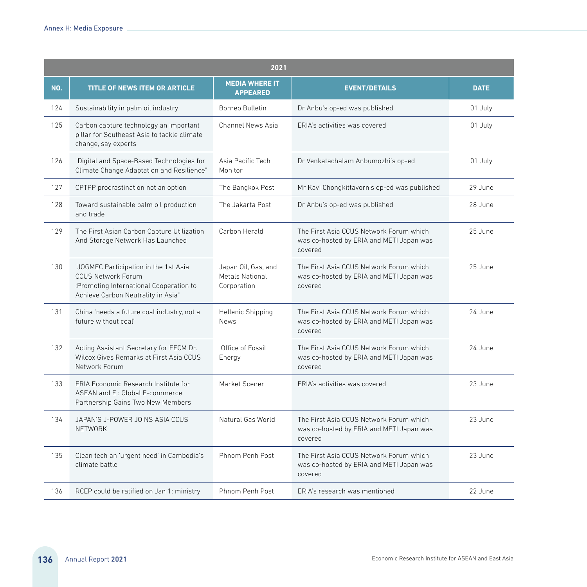|     | 2021                                                                                                                                                |                                                       |                                                                                                |             |  |
|-----|-----------------------------------------------------------------------------------------------------------------------------------------------------|-------------------------------------------------------|------------------------------------------------------------------------------------------------|-------------|--|
| NO. | <b>TITLE OF NEWS ITEM OR ARTICLE</b>                                                                                                                | <b>MEDIA WHERE IT</b><br><b>APPEARED</b>              | <b>EVENT/DETAILS</b>                                                                           | <b>DATE</b> |  |
| 124 | Sustainability in palm oil industry                                                                                                                 | Borneo Bulletin                                       | Dr Anbu's op-ed was published                                                                  | 01 July     |  |
| 125 | Carbon capture technology an important<br>pillar for Southeast Asia to tackle climate<br>change, say experts                                        | Channel News Asia                                     | FRIA's activities was covered                                                                  | 01 July     |  |
| 126 | "Digital and Space-Based Technologies for<br>Climate Change Adaptation and Resilience"                                                              | Asia Pacific Tech<br>Monitor                          | Dr Venkatachalam Anbumozhi's op-ed                                                             | 01 July     |  |
| 127 | CPTPP procrastination not an option                                                                                                                 | The Bangkok Post                                      | Mr Kavi Chongkittavorn's op-ed was published                                                   | 29 June     |  |
| 128 | Toward sustainable palm oil production<br>and trade                                                                                                 | The Jakarta Post                                      | Dr Anbu's op-ed was published                                                                  | 28 June     |  |
| 129 | The First Asian Carbon Capture Utilization<br>And Storage Network Has Launched                                                                      | Carbon Herald                                         | The First Asia CCUS Network Forum which<br>was co-hosted by ERIA and METI Japan was<br>covered | 25 June     |  |
| 130 | "JOGMEC Participation in the 1st Asia<br><b>CCUS Network Forum</b><br>:Promoting International Cooperation to<br>Achieve Carbon Neutrality in Asia" | Japan Oil, Gas, and<br>Metals National<br>Corporation | The First Asia CCUS Network Forum which<br>was co-hosted by ERIA and METI Japan was<br>covered | 25 June     |  |
| 131 | China 'needs a future coal industry, not a<br>future without coal'                                                                                  | Hellenic Shipping<br><b>News</b>                      | The First Asia CCUS Network Forum which<br>was co-hosted by ERIA and METI Japan was<br>covered | 24 June     |  |
| 132 | Acting Assistant Secretary for FECM Dr.<br>Wilcox Gives Remarks at First Asia CCUS<br>Network Forum                                                 | Office of Fossil<br>Energy                            | The First Asia CCUS Network Forum which<br>was co-hosted by ERIA and METI Japan was<br>covered | 24 June     |  |
| 133 | ERIA Economic Research Institute for<br>ASEAN and E: Global E-commerce<br>Partnership Gains Two New Members                                         | Market Scener                                         | ERIA's activities was covered                                                                  | 23 June     |  |
| 134 | JAPAN'S J-POWER JOINS ASIA CCUS<br><b>NFTWORK</b>                                                                                                   | Natural Gas World                                     | The First Asia CCUS Network Forum which<br>was co-hosted by ERIA and METI Japan was<br>covered | 23 June     |  |
| 135 | Clean tech an 'urgent need' in Cambodia's<br>climate battle                                                                                         | Phnom Penh Post                                       | The First Asia CCUS Network Forum which<br>was co-hosted by ERIA and METI Japan was<br>covered | 23 June     |  |
| 136 | RCEP could be ratified on Jan 1: ministry                                                                                                           | Phnom Penh Post                                       | FRIA's research was mentioned                                                                  | 22 June     |  |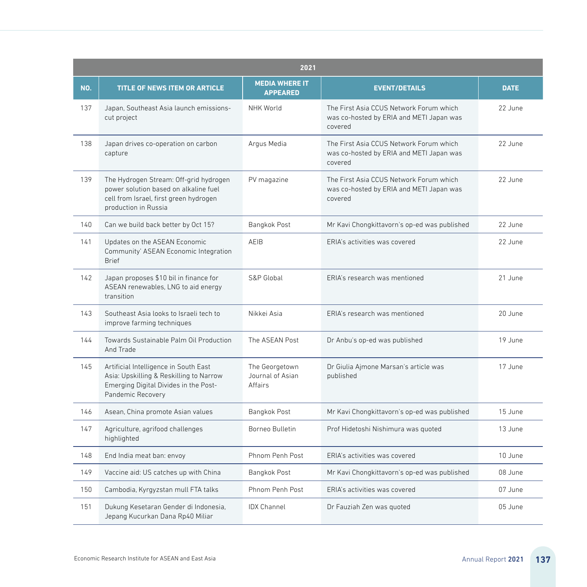|     | 2021                                                                                                                                              |                                               |                                                                                                |             |  |
|-----|---------------------------------------------------------------------------------------------------------------------------------------------------|-----------------------------------------------|------------------------------------------------------------------------------------------------|-------------|--|
| NO. | TITLE OF NEWS ITEM OR ARTICLE                                                                                                                     | <b>MEDIA WHERE IT</b><br><b>APPEARED</b>      | <b>EVENT/DETAILS</b>                                                                           | <b>DATE</b> |  |
| 137 | Japan, Southeast Asia launch emissions-<br>cut project                                                                                            | <b>NHK World</b>                              | The First Asia CCUS Network Forum which<br>was co-hosted by ERIA and METI Japan was<br>covered | 22 June     |  |
| 138 | Japan drives co-operation on carbon<br>capture                                                                                                    | Argus Media                                   | The First Asia CCUS Network Forum which<br>was co-hosted by ERIA and METI Japan was<br>covered | 22 June     |  |
| 139 | The Hydrogen Stream: Off-grid hydrogen<br>power solution based on alkaline fuel<br>cell from Israel, first green hydrogen<br>production in Russia | PV magazine                                   | The First Asia CCUS Network Forum which<br>was co-hosted by ERIA and METI Japan was<br>covered | 22 June     |  |
| 140 | Can we build back better by Oct 15?                                                                                                               | Bangkok Post                                  | Mr Kavi Chongkittavorn's op-ed was published                                                   | 22 June     |  |
| 141 | Updates on the ASEAN Economic<br>Community' ASEAN Economic Integration<br><b>Brief</b>                                                            | AEIB                                          | ERIA's activities was covered                                                                  | 22 June     |  |
| 142 | Japan proposes \$10 bil in finance for<br>ASEAN renewables, LNG to aid energy<br>transition                                                       | S&P Global                                    | ERIA's research was mentioned                                                                  | 21 June     |  |
| 143 | Southeast Asia looks to Israeli tech to<br>improve farming techniques                                                                             | Nikkei Asia                                   | ERIA's research was mentioned                                                                  | 20 June     |  |
| 144 | Towards Sustainable Palm Oil Production<br>And Trade                                                                                              | The ASEAN Post                                | Dr Anbu's op-ed was published                                                                  | 19 June     |  |
| 145 | Artificial Intelligence in South East<br>Asia: Upskilling & Reskilling to Narrow<br>Emerging Digital Divides in the Post-<br>Pandemic Recovery    | The Georgetown<br>Journal of Asian<br>Affairs | Dr Giulia Ajmone Marsan's article was<br>published                                             | 17 June     |  |
| 146 | Asean, China promote Asian values                                                                                                                 | Bangkok Post                                  | Mr Kavi Chongkittavorn's op-ed was published                                                   | 15 June     |  |
| 147 | Agriculture, agrifood challenges<br>highlighted                                                                                                   | Borneo Bulletin                               | Prof Hidetoshi Nishimura was quoted                                                            | 13 June     |  |
| 148 | End India meat ban: envoy                                                                                                                         | Phnom Penh Post                               | ERIA's activities was covered                                                                  | 10 June     |  |
| 149 | Vaccine aid: US catches up with China                                                                                                             | Bangkok Post                                  | Mr Kavi Chongkittavorn's op-ed was published                                                   | 08 June     |  |
| 150 | Cambodia, Kyrgyzstan mull FTA talks                                                                                                               | Phnom Penh Post                               | FRIA's activities was covered                                                                  | 07 June     |  |
| 151 | Dukung Kesetaran Gender di Indonesia,<br>Jepang Kucurkan Dana Rp40 Miliar                                                                         | <b>IDX Channel</b>                            | Dr Fauziah Zen was quoted                                                                      | 05 June     |  |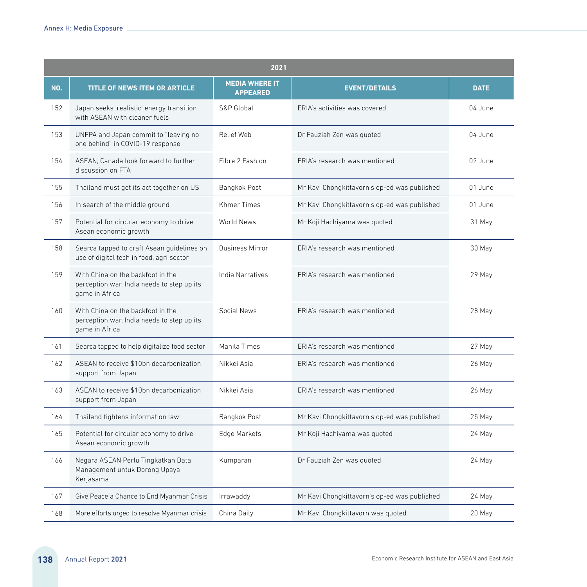|     | 2021                                                                                              |                                          |                                              |             |  |
|-----|---------------------------------------------------------------------------------------------------|------------------------------------------|----------------------------------------------|-------------|--|
| NO. | <b>TITLE OF NEWS ITEM OR ARTICLE</b>                                                              | <b>MEDIA WHERE IT</b><br><b>APPEARED</b> | <b>EVENT/DETAILS</b>                         | <b>DATE</b> |  |
| 152 | Japan seeks 'realistic' energy transition<br>with ASEAN with cleaner fuels                        | S&P Global                               | ERIA's activities was covered                | 04 June     |  |
| 153 | UNFPA and Japan commit to "leaving no<br>one behind" in COVID-19 response                         | Relief Web                               | Dr Fauziah Zen was quoted                    | 04 June     |  |
| 154 | ASEAN. Canada look forward to further<br>discussion on FTA                                        | Fibre 2 Fashion                          | ERIA's research was mentioned                | 02 June     |  |
| 155 | Thailand must get its act together on US                                                          | Bangkok Post                             | Mr Kavi Chongkittavorn's op-ed was published | 01 June     |  |
| 156 | In search of the middle ground                                                                    | Khmer Times                              | Mr Kavi Chongkittavorn's op-ed was published | 01 June     |  |
| 157 | Potential for circular economy to drive<br>Asean economic growth                                  | World News                               | Mr Koji Hachiyama was quoted                 | 31 May      |  |
| 158 | Searca tapped to craft Asean guidelines on<br>use of digital tech in food, agri sector            | <b>Business Mirror</b>                   | FRIA's research was mentioned                | 30 May      |  |
| 159 | With China on the backfoot in the<br>perception war, India needs to step up its<br>game in Africa | India Narratives                         | FRIA's research was mentioned                | 29 May      |  |
| 160 | With China on the backfoot in the<br>perception war, India needs to step up its<br>game in Africa | Social News                              | ERIA's research was mentioned                | 28 May      |  |
| 161 | Searca tapped to help digitalize food sector                                                      | Manila Times                             | ERIA's research was mentioned                | 27 May      |  |
| 162 | ASEAN to receive \$10bn decarbonization<br>support from Japan                                     | Nikkei Asia                              | ERIA's research was mentioned                | 26 May      |  |
| 163 | ASEAN to receive \$10bn decarbonization<br>support from Japan                                     | Nikkei Asia                              | ERIA's research was mentioned                | 26 May      |  |
| 164 | Thailand tightens information law                                                                 | Bangkok Post                             | Mr Kavi Chongkittavorn's op-ed was published | 25 May      |  |
| 165 | Potential for circular economy to drive<br>Asean economic growth                                  | Edge Markets                             | Mr Koji Hachiyama was quoted                 | 24 May      |  |
| 166 | Negara ASEAN Perlu Tingkatkan Data<br>Management untuk Dorong Upaya<br>Kerjasama                  | Kumparan                                 | Dr Fauziah Zen was quoted                    | 24 May      |  |
| 167 | Give Peace a Chance to End Myanmar Crisis                                                         | Irrawaddy                                | Mr Kavi Chongkittavorn's op-ed was published | 24 May      |  |
| 168 | More efforts urged to resolve Myanmar crisis                                                      | China Daily                              | Mr Kavi Chongkittavorn was quoted            | 20 May      |  |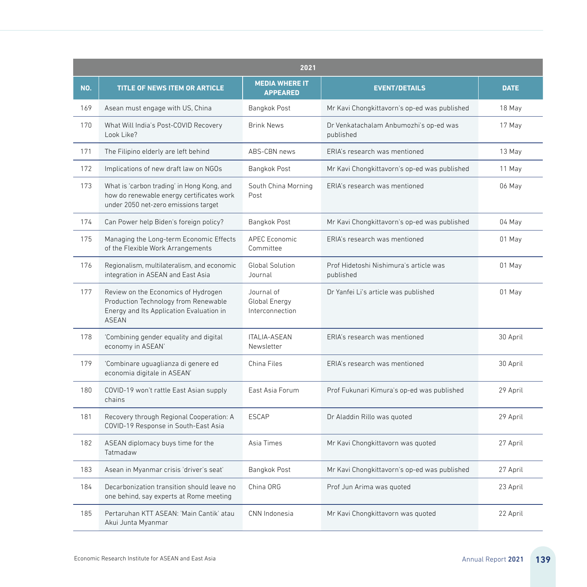|     | 2021                                                                                                                                    |                                                |                                                     |             |  |
|-----|-----------------------------------------------------------------------------------------------------------------------------------------|------------------------------------------------|-----------------------------------------------------|-------------|--|
| NO. | <b>TITLE OF NEWS ITEM OR ARTICLE</b>                                                                                                    | <b>MEDIA WHERE IT</b><br><b>APPEARED</b>       | <b>EVENT/DETAILS</b>                                | <b>DATE</b> |  |
| 169 | Asean must engage with US, China                                                                                                        | Bangkok Post                                   | Mr Kavi Chongkittavorn's op-ed was published        | 18 May      |  |
| 170 | What Will India's Post-COVID Recovery<br>Look Like?                                                                                     | <b>Brink News</b>                              | Dr Venkatachalam Anbumozhi's op-ed was<br>published | 17 May      |  |
| 171 | The Filipino elderly are left behind                                                                                                    | ABS-CBN news                                   | FRIA's research was mentioned                       | 13 May      |  |
| 172 | Implications of new draft law on NGOs                                                                                                   | Bangkok Post                                   | Mr Kavi Chongkittavorn's op-ed was published        | 11 May      |  |
| 173 | What is 'carbon trading' in Hong Kong, and<br>how do renewable energy certificates work<br>under 2050 net-zero emissions target         | South China Morning<br>Post                    | ERIA's research was mentioned                       | 06 May      |  |
| 174 | Can Power help Biden's foreign policy?                                                                                                  | Bangkok Post                                   | Mr Kavi Chongkittavorn's op-ed was published        | 04 May      |  |
| 175 | Managing the Long-term Economic Effects<br>of the Flexible Work Arrangements                                                            | <b>APEC Economic</b><br>Committee              | FRIA's research was mentioned                       | 01 May      |  |
| 176 | Regionalism, multilateralism, and economic<br>integration in ASEAN and East Asia                                                        | Global Solution<br>Journal                     | Prof Hidetoshi Nishimura's article was<br>published | 01 May      |  |
| 177 | Review on the Economics of Hydrogen<br>Production Technology from Renewable<br>Energy and Its Application Evaluation in<br><b>ASEAN</b> | Journal of<br>Global Energy<br>Interconnection | Dr Yanfei Li's article was published                | 01 May      |  |
| 178 | 'Combining gender equality and digital<br>economy in ASEAN'                                                                             | ITALIA-ASEAN<br>Newsletter                     | ERIA's research was mentioned                       | 30 April    |  |
| 179 | 'Combinare uguaglianza di genere ed<br>economia digitale in ASEAN'                                                                      | China Files                                    | ERIA's research was mentioned                       | 30 April    |  |
| 180 | COVID-19 won't rattle East Asian supply<br>chains                                                                                       | East Asia Forum                                | Prof Fukunari Kimura's op-ed was published          | 29 April    |  |
| 181 | Recovery through Regional Cooperation: A<br>COVID-19 Response in South-East Asia                                                        | <b>ESCAP</b>                                   | Dr Aladdin Rillo was quoted                         | 29 April    |  |
| 182 | ASEAN diplomacy buys time for the<br>Tatmadaw                                                                                           | Asia Times                                     | Mr Kavi Chongkittavorn was quoted                   | 27 April    |  |
| 183 | Asean in Myanmar crisis 'driver's seat'                                                                                                 | Bangkok Post                                   | Mr Kavi Chongkittavorn's op-ed was published        | 27 April    |  |
| 184 | Decarbonization transition should leave no<br>one behind, say experts at Rome meeting                                                   | China ORG                                      | Prof Jun Arima was quoted                           | 23 April    |  |
| 185 | Pertaruhan KTT ASEAN: 'Main Cantik' atau<br>Akui Junta Myanmar                                                                          | CNN Indonesia                                  | Mr Kavi Chongkittavorn was quoted                   | 22 April    |  |